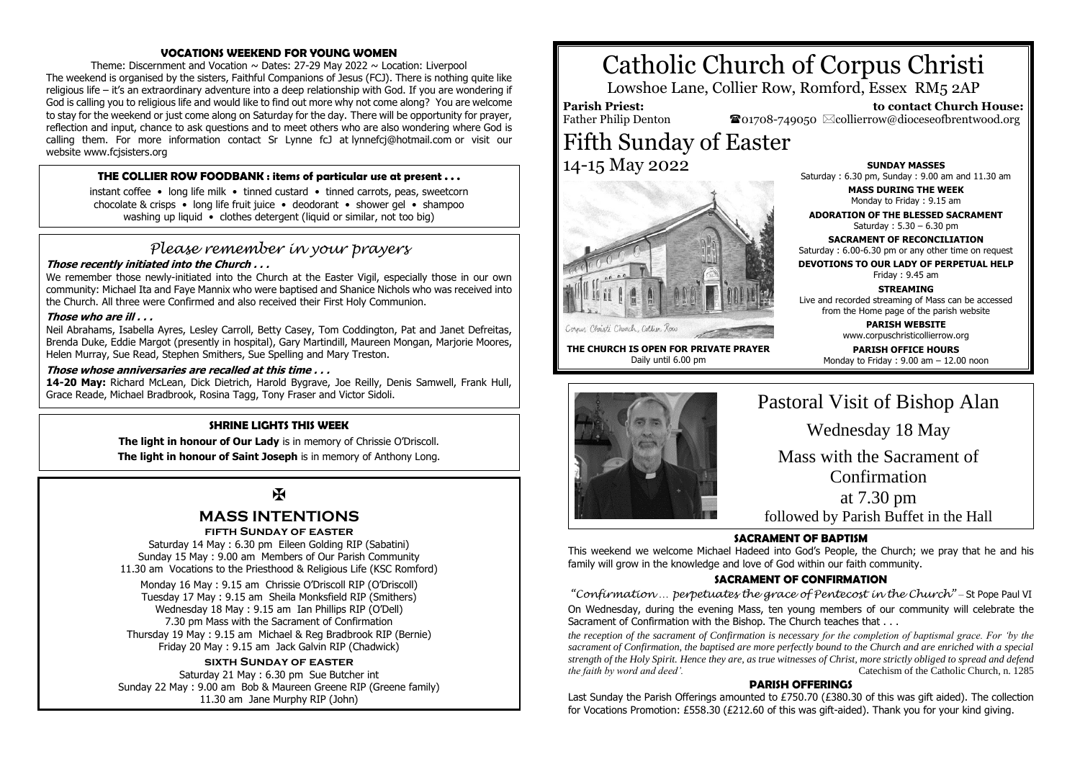# **VOCATIONS WEEKEND FOR YOUNG WOMEN**

Theme: Discernment and Vocation  $\sim$  Dates: 27-29 May 2022  $\sim$  Location: Liverpool The weekend is organised by the sisters, Faithful Companions of Jesus (FCJ). There is nothing quite like religious life – it's an extraordinary adventure into a deep relationship with God. If you are wondering if God is calling you to religious life and would like to find out more why not come along? You are welcome to stay for the weekend or just come along on Saturday for the day. There will be opportunity for prayer, reflection and input, chance to ask questions and to meet others who are also wondering where God is calling them. For more information contact Sr Lynne fcJ at lynnefcj@hotmail.com or visit our website www.fcisisters.org

# **THE COLLIER ROW FOODBANK : items of particular use at present . . .**

instant coffee • long life milk • tinned custard • tinned carrots, peas, sweetcorn chocolate & crisps • long life fruit juice • deodorant • shower gel • shampoo washing up liquid • clothes detergent (liquid or similar, not too big)

# *Please remember in your prayers*

# **Those recently initiated into the Church . . .**

We remember those newly-initiated into the Church at the Easter Vigil, especially those in our own community: Michael Ita and Faye Mannix who were baptised and Shanice Nichols who was received into the Church. All three were Confirmed and also received their First Holy Communion.

# **Those who are ill . . .**

Neil Abrahams, Isabella Ayres, Lesley Carroll, Betty Casey, Tom Coddington, Pat and Janet Defreitas, Brenda Duke, Eddie Margot (presently in hospital), Gary Martindill, Maureen Mongan, Marjorie Moores, Helen Murray, Sue Read, Stephen Smithers, Sue Spelling and Mary Treston.

# **Those whose anniversaries are recalled at this time . . .**

**14-20 May:** Richard McLean, Dick Dietrich, Harold Bygrave, Joe Reilly, Denis Samwell, Frank Hull, Grace Reade, Michael Bradbrook, Rosina Tagg, Tony Fraser and Victor Sidoli.

# **SHRINE LIGHTS THIS WEEK**

**The light in honour of Our Lady** is in memory of Chrissie O'Driscoll. **The light in honour of Saint Joseph** is in memory of Anthony Long.

# $\mathbf F$

# **MASS INTENTIONS**

# **fifth Sunday of easter**

Saturday 14 May : 6.30 pm Eileen Golding RIP (Sabatini) Sunday 15 May : 9.00 am Members of Our Parish Community 11.30 am Vocations to the Priesthood & Religious Life (KSC Romford)

Monday 16 May : 9.15 am Chrissie O'Driscoll RIP (O'Driscoll) Tuesday 17 May : 9.15 am Sheila Monksfield RIP (Smithers) Wednesday 18 May : 9.15 am Ian Phillips RIP (O'Dell) 7.30 pm Mass with the Sacrament of Confirmation Thursday 19 May : 9.15 am Michael & Reg Bradbrook RIP (Bernie) Friday 20 May : 9.15 am Jack Galvin RIP (Chadwick)

# **sixth Sunday of easter**

Saturday 21 May : 6.30 pm Sue Butcher int Sunday 22 May : 9.00 am Bob & Maureen Greene RIP (Greene family) 11.30 am Jane Murphy RIP (John)

# Catholic Church of Corpus Christi

Lowshoe Lane, Collier Row, Romford, Essex RM5 2AP

**Parish Priest:** Father Philip Denton  $\bullet$ 01708-749050  $\boxtimes$ collierrow@dioceseofbrentwood.org Fifth Sunday of Easter 14-15 May 2022

**SUNDAY MASSES** Saturday : 6.30 pm, Sunday : 9.00 am and 11.30 am

> **MASS DURING THE WEEK** Monday to Friday : 9.15 am

 **to contact Church House:**

**ADORATION OF THE BLESSED SACRAMENT** Saturday : 5.30 – 6.30 pm

**SACRAMENT OF RECONCILIATION** Saturday : 6.00-6.30 pm or any other time on request

**DEVOTIONS TO OUR LADY OF PERPETUAL HELP**

Friday : 9.45 am

# **STREAMING** Live and recorded streaming of Mass can be accessed

from the Home page of the parish website **PARISH WEBSITE**

www.corpuschristicollierrow.org

**PARISH OFFICE HOURS** Monday to Friday : 9.00 am – 12.00 noon



**THE CHURCH IS OPEN FOR PRIVATE PRAYER** Daily until 6.00 pm

Cornus Christi Church, Collier Roa

# Pastoral Visit of Bishop Alan Wednesday 18 May

Mass with the Sacrament of

Confirmation

# at 7.30 pm followed by Parish Buffet in the Hall

# **SACRAMENT OF BAPTISM**

This weekend we welcome Michael Hadeed into God's People, the Church; we pray that he and his family will grow in the knowledge and love of God within our faith community.

# **SACRAMENT OF CONFIRMATION**

*"Confirmation … perpetuates the grace of Pentecost in the Church"* – St Pope Paul VI On Wednesday, during the evening Mass, ten young members of our community will celebrate the Sacrament of Confirmation with the Bishop. The Church teaches that . . .

*the reception of the sacrament of Confirmation is necessary for the completion of baptismal grace. For 'by the sacrament of Confirmation, the baptised are more perfectly bound to the Church and are enriched with a special strength of the Holy Spirit. Hence they are, as true witnesses of Christ, more strictly obliged to spread and defend the faith by word and deed'.* Catechism of the Catholic Church, n. 1285

#### **PARISH OFFERINGS**

Last Sunday the Parish Offerings amounted to £750.70 (£380.30 of this was gift aided). The collection for Vocations Promotion: £558.30 (£212.60 of this was gift-aided). Thank you for your kind giving.